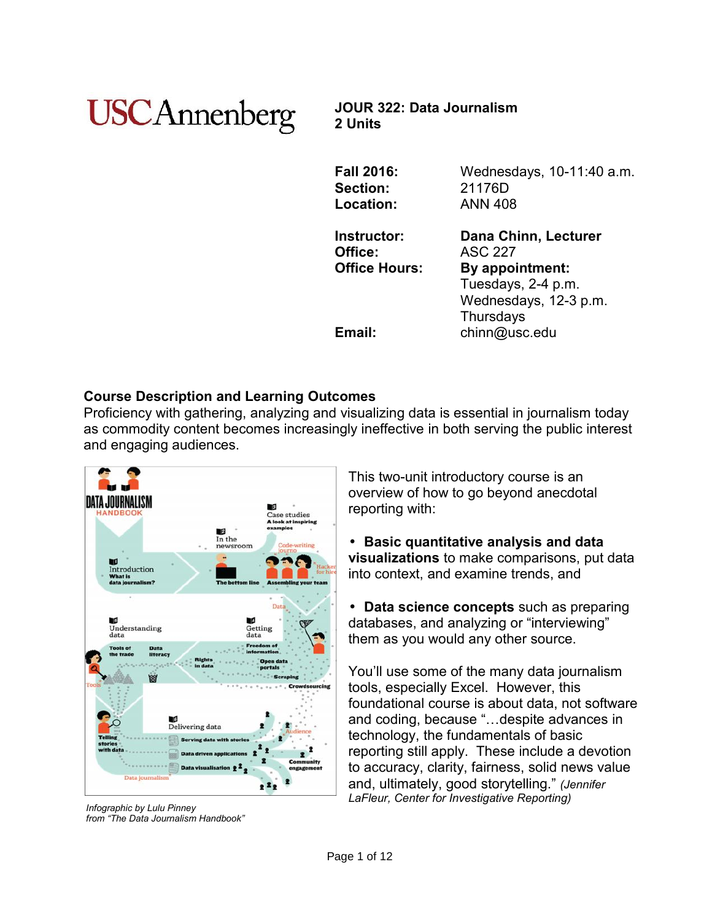# **USCAnnenberg**

**JOUR 322: Data Journalism 2 Units**

| <b>Fall 2016:</b>    | Wednesdays, 10-11:40 a.m. |
|----------------------|---------------------------|
| Section:             | 21176D                    |
| Location:            | <b>ANN 408</b>            |
| Instructor:          | Dana Chinn, Lecturer      |
| Office:              | <b>ASC 227</b>            |
| <b>Office Hours:</b> | By appointment:           |
|                      | Tuesdays, 2-4 p.m.        |
|                      | Wednesdays, 12-3 p.m.     |
|                      | Thursdays                 |
| Email:               | chinn@usc.edu             |
|                      |                           |

# **Course Description and Learning Outcomes**

Proficiency with gathering, analyzing and visualizing data is essential in journalism today as commodity content becomes increasingly ineffective in both serving the public interest and engaging audiences.



*Infographic by Lulu Pinney from "The Data Journalism Handbook"*

This two-unit introductory course is an overview of how to go beyond anecdotal reporting with:

 **Basic quantitative analysis and data visualizations** to make comparisons, put data into context, and examine trends, and

 **Data science concepts** such as preparing databases, and analyzing or "interviewing" them as you would any other source.

You'll use some of the many data journalism tools, especially Excel. However, this foundational course is about data, not software and coding, because "…despite advances in technology, the fundamentals of basic reporting still apply. These include a devotion to accuracy, clarity, fairness, solid news value and, ultimately, good storytelling." *(Jennifer LaFleur, Center for Investigative Reporting)*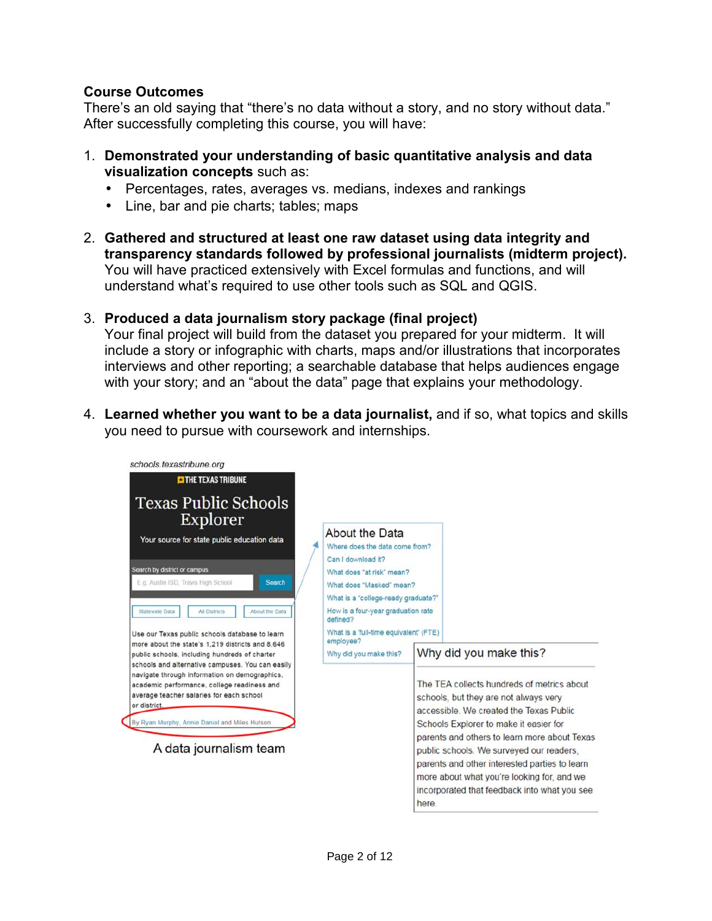## **Course Outcomes**

There's an old saying that "there's no data without a story, and no story without data." After successfully completing this course, you will have:

- 1. **Demonstrated your understanding of basic quantitative analysis and data visualization concepts** such as:
	- Percentages, rates, averages vs. medians, indexes and rankings
	- Line, bar and pie charts; tables; maps
- 2. **Gathered and structured at least one raw dataset using data integrity and transparency standards followed by professional journalists (midterm project).** You will have practiced extensively with Excel formulas and functions, and will understand what's required to use other tools such as SQL and QGIS.

# 3. **Produced a data journalism story package (final project)**

Your final project will build from the dataset you prepared for your midterm. It will include a story or infographic with charts, maps and/or illustrations that incorporates interviews and other reporting; a searchable database that helps audiences engage with your story; and an "about the data" page that explains your methodology.

4. **Learned whether you want to be a data journalist,** and if so, what topics and skills you need to pursue with coursework and internships.

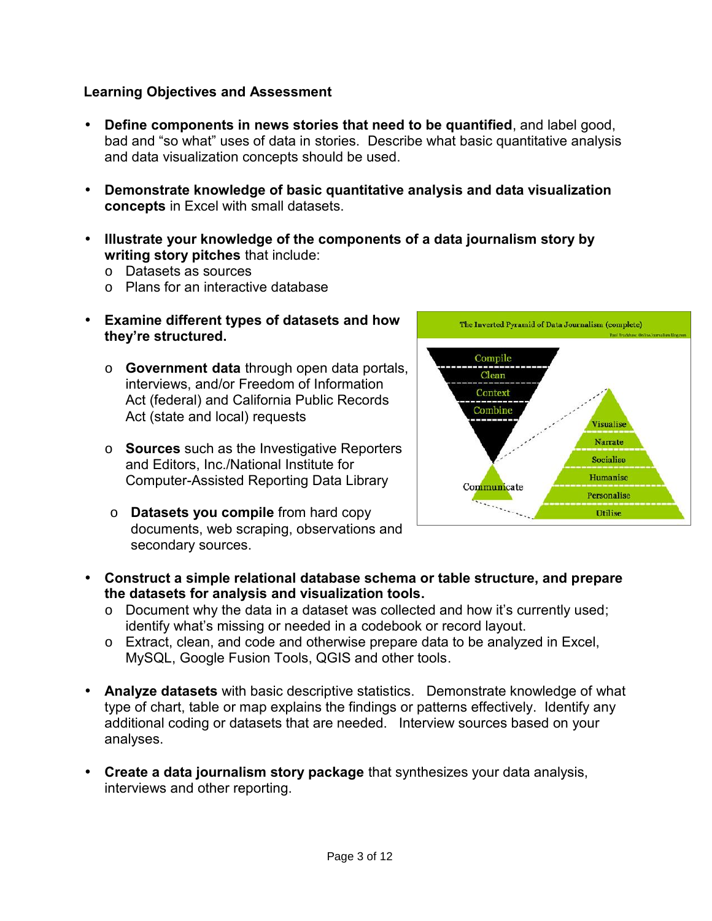## **Learning Objectives and Assessment**

- **Define components in news stories that need to be quantified**, and labelgood, bad and "so what" uses of data in stories. Describe what basic quantitative analysis and data visualization concepts should be used.
- **Demonstrate knowledge of basic quantitative analysis and data visualization concepts** in Excel with small datasets.
- **Illustrate your knowledge of the components of a data journalism story by writing story pitches** that include:
	- o Datasets as sources
	- o Plans for an interactive database
- **Examine different types of datasets and how they're structured.**
	- o **Government data** through open data portals, interviews, and/or Freedom of Information Act (federal) and California Public Records Act (state and local) requests
	- o **Sources** such as the Investigative Reporters and Editors, Inc./National Institute for Computer-Assisted Reporting Data Library
	- o **Datasets you compile** from hard copy documents, web scraping, observations and secondary sources.



- **Construct a simple relational database schema or table structure, and prepare the datasets for analysis and visualization tools.**
	- o Document why the data in a dataset was collected and how it's currently used; identify what's missing or needed in a codebook or record layout.
	- o Extract, clean, and code and otherwise prepare data to be analyzed in Excel, MySQL, Google Fusion Tools, QGIS and other tools.
- **Analyze datasets** with basic descriptive statistics. Demonstrate knowledge of what type of chart, table or map explains the findings or patterns effectively. Identify any additional coding or datasets that are needed. Interview sources based on your analyses.
- **Create a data journalism story package** that synthesizes your data analysis, interviews and other reporting.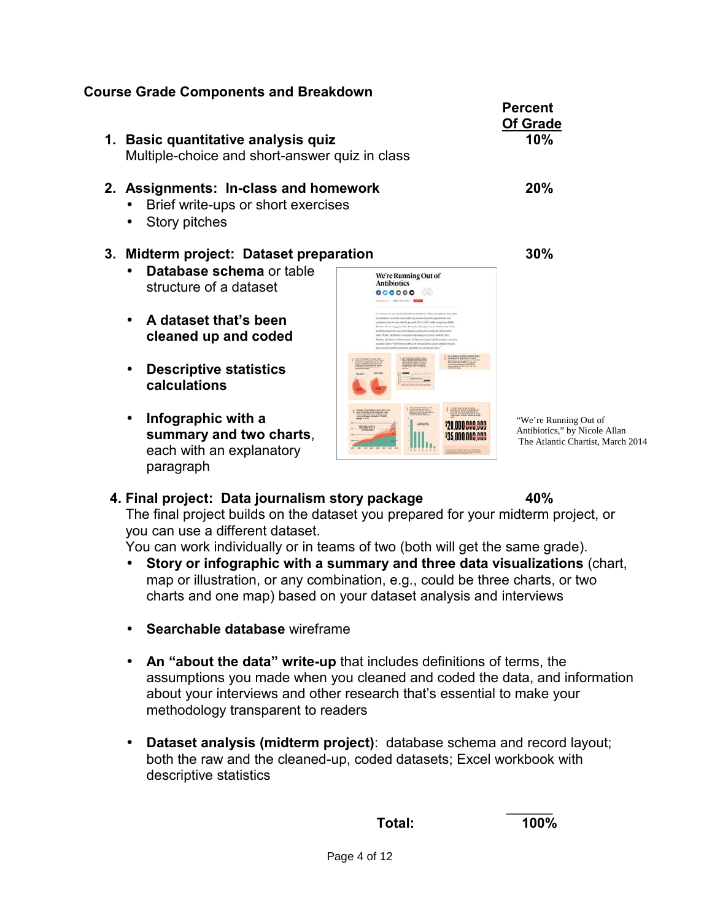# **Course Grade Components and Breakdown**

**Percent Of Grade 1. Basic quantitative analysis quiz 10%** Multiple-choice and short-answer quiz in class **2. Assignments: In-class and homework 20%** • Brief write-ups or short exercises • Story pitches **3. Midterm project: Dataset preparation 30% Database schema** or table We're Running Out of<br>Antibiotics structure of a dataset 000000 00 **A dataset that's been cleaned up and coded Descriptive statistics calculations Infographic with a** "We're Running Out of **\$20 000 000 000** Antibiotics," by Nicole Allan **summary and two charts**, \$35 NON NOR AND each with an explanatory paragraph

## **4. Final project: Data journalism story package 40%**

The final project builds on the dataset you prepared for your midterm project, or you can use a different dataset.

You can work individually or in teams of two (both will get the same grade).

- **Story orinfographic with a summary and three data visualizations** (chart, map or illustration, or any combination, e.g., could be three charts, or two charts and one map) based on your dataset analysis and interviews
- **Searchable database** wireframe
- **An "about the data" write-up** that includes definitions of terms, the assumptions you made when you cleaned and coded the data, and information about your interviews and other research that's essential to make your methodology transparent to readers
- **Dataset analysis (midterm project)**: database schema and record layout; both the raw and the cleaned-up, coded datasets; Excel workbook with descriptive statistics

 $\overline{\phantom{a}}$ **Total: 100%**

The Atlantic Chartist, March 2014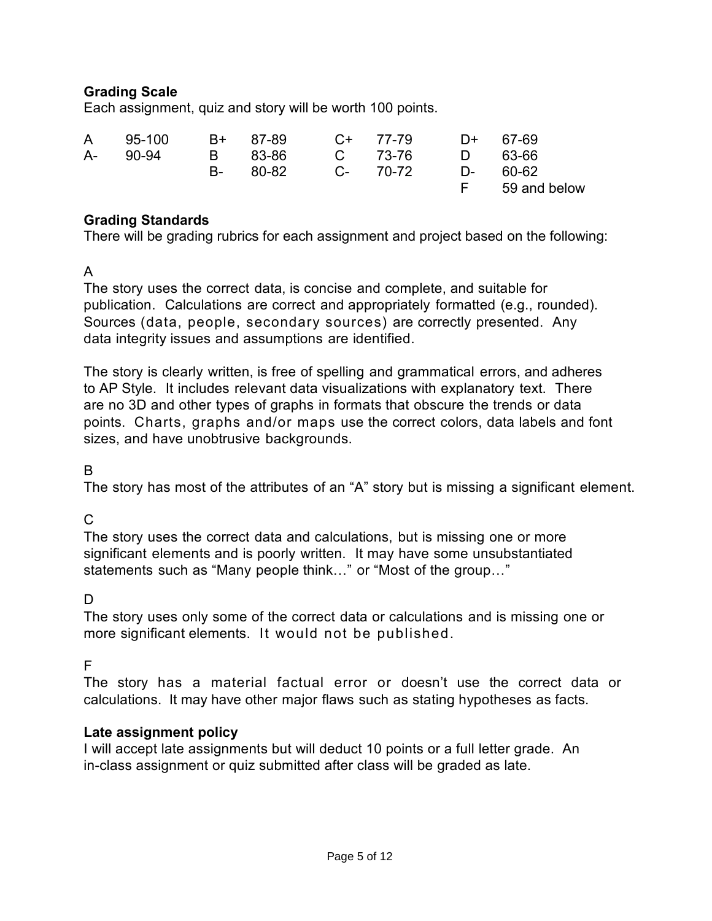# **Grading Scale**

Each assignment, quiz and story will be worth 100 points.

| A 95-100 | B+ 87-89 C+ 77-79 |  | $D+67-69$ |                |
|----------|-------------------|--|-----------|----------------|
| A- 90-94 | B 83-86 C 73-76   |  |           | D 63-66        |
|          | B- 80-82 C- 70-72 |  |           | D- 60-62       |
|          |                   |  |           | F 59 and below |

### **Grading Standards**

There will be grading rubrics for each assignment and project based on the following:

A

The story uses the correct data, is concise and complete, and suitable for publication. Calculations are correct and appropriately formatted (e.g., rounded). Sources (data, people, secondary sources) are correctly presented. Any data integrity issues and assumptions are identified.

The story is clearly written, is free of spelling and grammatical errors, and adheres to AP Style. It includes relevant data visualizations with explanatory text. There are no 3D and other types of graphs in formats that obscure the trends ordata points. Charts, graphs and/or maps use the correct colors, data labels and font sizes, and have unobtrusive backgrounds.

## B

The story has most of the attributes of an "A" story but is missing a significant element.

# C

The story uses the correct data and calculations, but is missing one or more significant elements and is poorly written. It may have some unsubstantiated statements such as "Many people think…" or "Most of the group…"

# D<sub>ar</sub>

The story uses only some of the correct data or calculations and is missing one or more significant elements. It would not be published.

## F

The story has a material factual error or doesn't use the correct data or calculations. It may have other major flaws such as stating hypotheses as facts.

## **Late assignment policy**

I will accept late assignments but will deduct 10 points or a full letter grade. An in-class assignment or quiz submitted after class will be graded as late.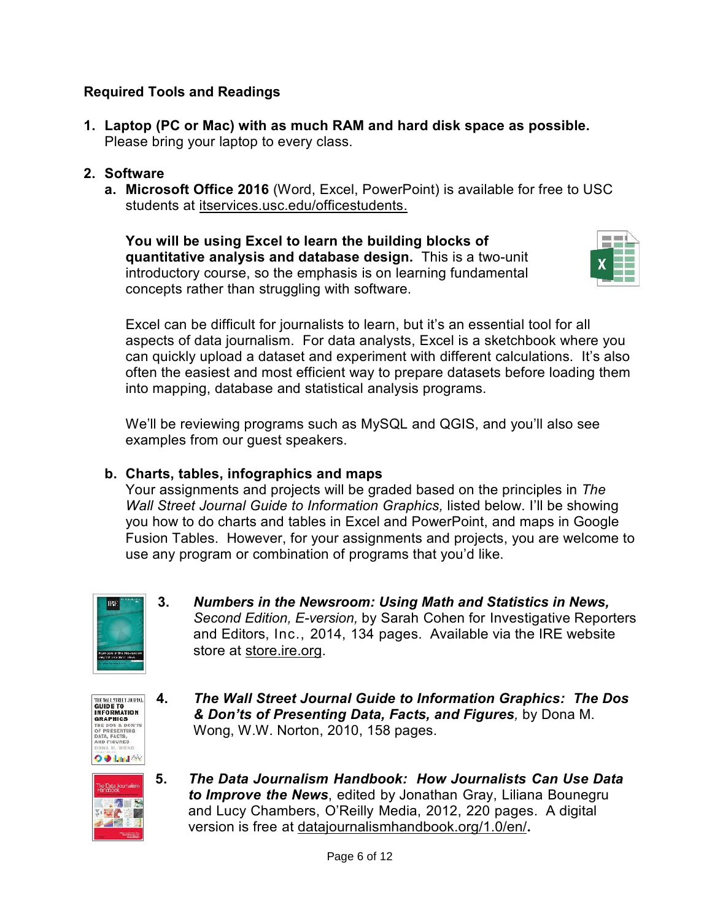# **Required Tools and Readings**

**1. Laptop (PC or Mac) with as much RAM and hard disk space as possible.** Please bring your laptop to every class.

## **2. Software**

**a. Microsoft Office 2016** (Word, Excel, PowerPoint) is available for free to USC students at itservices.usc.edu/officestudents.

**You will be using Excel to learn the building blocks of quantitative analysis and database design.** This is a two-unit introductory course, so the emphasis is on learning fundamental concepts rather than struggling with software.



Excel can be difficult for journalists to learn, but it's an essential tool for all aspects of data journalism. For data analysts, Excel is a sketchbook where you can quickly upload a dataset and experiment with different calculations. It's also often the easiest and most efficient way to prepare datasets before loading them into mapping, database and statistical analysis programs.

We'll be reviewing programs such as MySQL and QGIS, and you'll also see examples from our guest speakers.

## **b. Charts, tables, infographics and maps**

Your assignments and projects will be graded based on the principles in *The Wall Street Journal Guide to Information Graphics,* listed below. I'll be showing you how to do charts and tables in Excel and PowerPoint, and maps in Google Fusion Tables. However, for your assignments and projects, you are welcome to use any program or combination of programs that you'd like.



**3.** *Numbers in the Newsroom: Using Math and Statistics in News, Second Edition, E-version,* by Sarah Cohen for Investigative Reporters and Editors, Inc., 2014, 134 pages. Available via the IRE website store at store.ire.org.



**4.** *The Wall Street Journal Guide to Information Graphics: The Dos & Don'ts of Presenting Data, Facts, and Figures,* by Dona M. Wong, W.W. Norton, 2010, 158 pages.



**5.** *The Data Journalism Handbook: How Journalists Can Use Data to Improve the News*, edited by Jonathan Gray, Liliana Bounegru and Lucy Chambers, O'Reilly Media, 2012, 220 pages. A digital version is free at datajournalismhandbook.org/1.0/en/**.**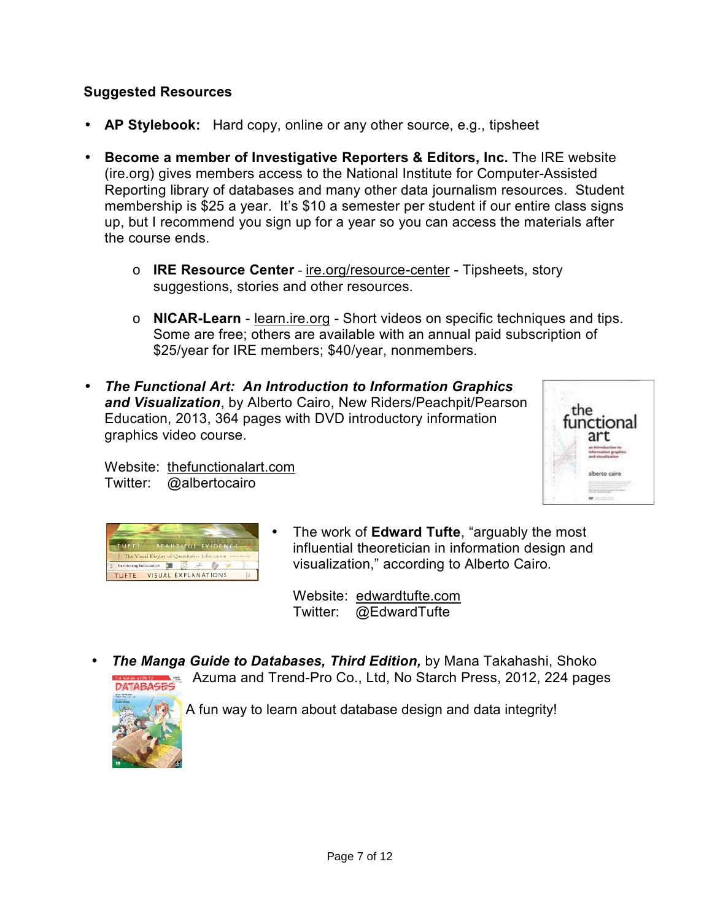# **Suggested Resources**

- **AP Stylebook:** Hard copy, online or any other source, e.g., tipsheet
- **Become a member of Investigative Reporters & Editors, Inc.** The IRE website (ire.org) gives members access to the National Institute for Computer-Assisted Reporting library of databases and many other data journalism resources. Student membership is \$25 a year. It's \$10 a semester per student if our entire class signs up, but I recommend you sign up for a year so you can access the materials after the course ends.
	- o **IRE Resource Center** ire.org/resource-center Tipsheets, story suggestions, stories and other resources.
	- o **NICAR-Learn** learn.ire.org Short videos on specific techniques and tips. Some are free; others are available with an annual paid subscription of \$25/year for IRE members; \$40/year, nonmembers.
- *The Functional Art: An Introduction to Information Graphics* **and Visualization**, by Alberto Cairo, New Riders/Peachpit/Pearson the the Education, 2013, 364 pages with DVD introductory information graphics video course.





Twitter: @albertocairo

Website: thefunctionalart.com

 The work of **Edward Tufte**, "arguably the most influential theoretician in information design and visualization," according to Alberto Cairo.

Website: edwardtufte.com Twitter: @EdwardTufte

 *The Manga Guide to Databases, Third Edition,* by Mana Takahashi, Shoko Azuma and Trend-Pro Co., Ltd, No Starch Press, 2012, 224 pages



A fun way to learn about database design and data integrity!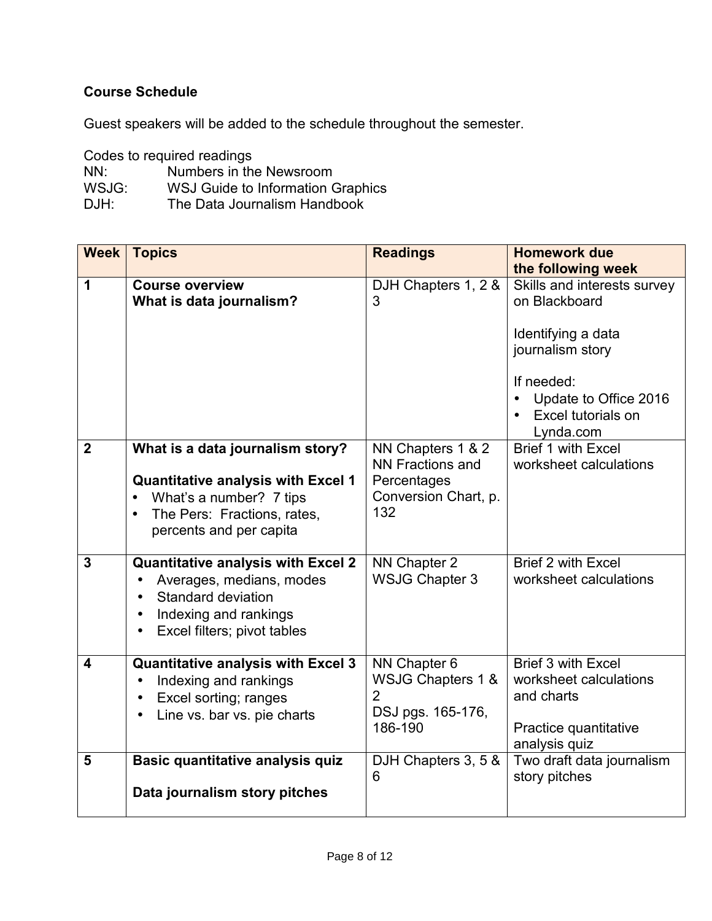# **Course Schedule**

Guest speakers will be added to the schedule throughout the semester.

Codes to required readings

| NN:   | Numbers in the Newsroom           |
|-------|-----------------------------------|
| WSJG: | WSJ Guide to Information Graphics |
| DJH:  | The Data Journalism Handbook      |

| <b>Week</b>             | <b>Topics</b>                                                                                                                                                                   | <b>Readings</b>                                                                            | <b>Homework due</b><br>the following week                                                                            |
|-------------------------|---------------------------------------------------------------------------------------------------------------------------------------------------------------------------------|--------------------------------------------------------------------------------------------|----------------------------------------------------------------------------------------------------------------------|
| 1                       | <b>Course overview</b><br>What is data journalism?                                                                                                                              | DJH Chapters 1, 2 &<br>3                                                                   | Skills and interests survey<br>on Blackboard<br>Identifying a data                                                   |
|                         |                                                                                                                                                                                 |                                                                                            | journalism story<br>If needed:<br>Update to Office 2016<br>$\bullet$<br>Excel tutorials on<br>$\bullet$<br>Lynda.com |
| $\overline{2}$          | What is a data journalism story?<br><b>Quantitative analysis with Excel 1</b><br>What's a number? 7 tips<br>The Pers: Fractions, rates,<br>$\bullet$<br>percents and per capita | NN Chapters 1 & 2<br><b>NN Fractions and</b><br>Percentages<br>Conversion Chart, p.<br>132 | Brief 1 with Excel<br>worksheet calculations                                                                         |
| 3                       | <b>Quantitative analysis with Excel 2</b><br>Averages, medians, modes<br>Standard deviation<br>Indexing and rankings<br>Excel filters; pivot tables                             | NN Chapter 2<br><b>WSJG Chapter 3</b>                                                      | <b>Brief 2 with Excel</b><br>worksheet calculations                                                                  |
| $\overline{\mathbf{4}}$ | <b>Quantitative analysis with Excel 3</b><br>Indexing and rankings<br>Excel sorting; ranges<br>Line vs. bar vs. pie charts                                                      | NN Chapter 6<br>WSJG Chapters 1 &<br>$\overline{2}$<br>DSJ pgs. 165-176,<br>186-190        | <b>Brief 3 with Excel</b><br>worksheet calculations<br>and charts<br>Practice quantitative<br>analysis quiz          |
| 5                       | Basic quantitative analysis quiz<br>Data journalism story pitches                                                                                                               | DJH Chapters 3, 5 &<br>6                                                                   | Two draft data journalism<br>story pitches                                                                           |
|                         |                                                                                                                                                                                 |                                                                                            |                                                                                                                      |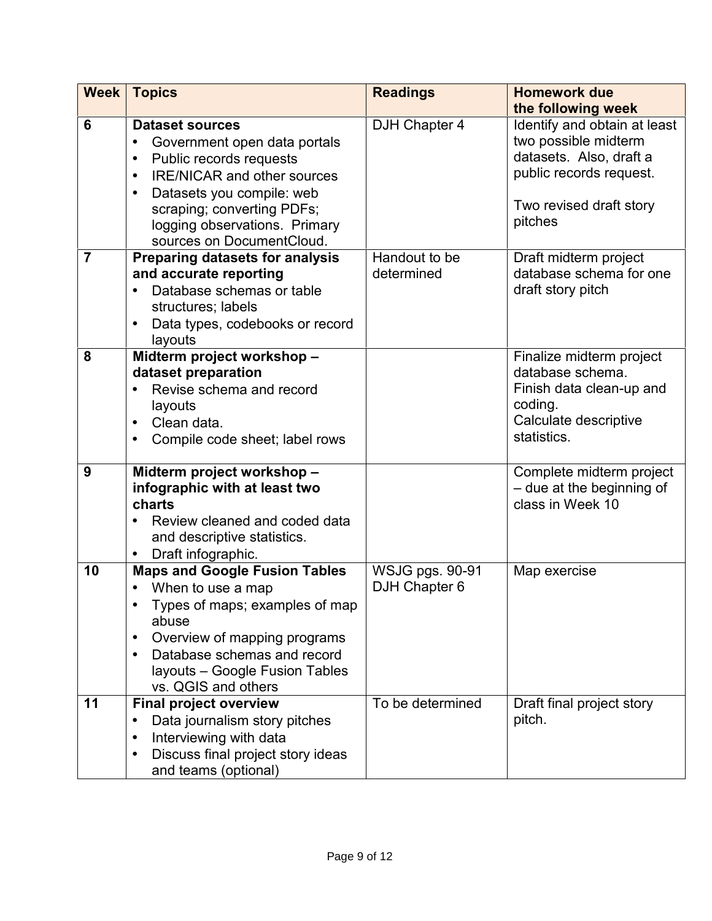| <b>Week</b>    | <b>Topics</b>                                                                                                                                                                                                                                                                                        | <b>Readings</b>                         | <b>Homework due</b><br>the following week                                                                                                        |
|----------------|------------------------------------------------------------------------------------------------------------------------------------------------------------------------------------------------------------------------------------------------------------------------------------------------------|-----------------------------------------|--------------------------------------------------------------------------------------------------------------------------------------------------|
| 6              | <b>Dataset sources</b><br>Government open data portals<br>$\bullet$<br>Public records requests<br>$\bullet$<br><b>IRE/NICAR and other sources</b><br>$\bullet$<br>Datasets you compile: web<br>$\bullet$<br>scraping; converting PDFs;<br>logging observations. Primary<br>sources on DocumentCloud. | DJH Chapter 4                           | Identify and obtain at least<br>two possible midterm<br>datasets. Also, draft a<br>public records request.<br>Two revised draft story<br>pitches |
| $\overline{7}$ | <b>Preparing datasets for analysis</b><br>and accurate reporting<br>Database schemas or table<br>$\bullet$<br>structures; labels<br>Data types, codebooks or record<br>layouts                                                                                                                       | Handout to be<br>determined             | Draft midterm project<br>database schema for one<br>draft story pitch                                                                            |
| 8              | Midterm project workshop -<br>dataset preparation<br>Revise schema and record<br>$\bullet$<br>layouts<br>Clean data.<br>$\bullet$<br>Compile code sheet; label rows<br>$\bullet$                                                                                                                     |                                         | Finalize midterm project<br>database schema.<br>Finish data clean-up and<br>coding.<br>Calculate descriptive<br>statistics.                      |
| 9              | Midterm project workshop -<br>infographic with at least two<br>charts<br>Review cleaned and coded data<br>$\bullet$<br>and descriptive statistics.<br>Draft infographic.                                                                                                                             |                                         | Complete midterm project<br>- due at the beginning of<br>class in Week 10                                                                        |
| 10             | <b>Maps and Google Fusion Tables</b><br>When to use a map<br>$\bullet$<br>Types of maps; examples of map<br>abuse<br>Overview of mapping programs<br>$\bullet$<br>Database schemas and record<br>$\bullet$<br>layouts - Google Fusion Tables<br>vs. QGIS and others                                  | <b>WSJG pgs. 90-91</b><br>DJH Chapter 6 | Map exercise                                                                                                                                     |
| 11             | <b>Final project overview</b><br>Data journalism story pitches<br>$\bullet$<br>Interviewing with data<br>$\bullet$<br>Discuss final project story ideas<br>$\bullet$<br>and teams (optional)                                                                                                         | To be determined                        | Draft final project story<br>pitch.                                                                                                              |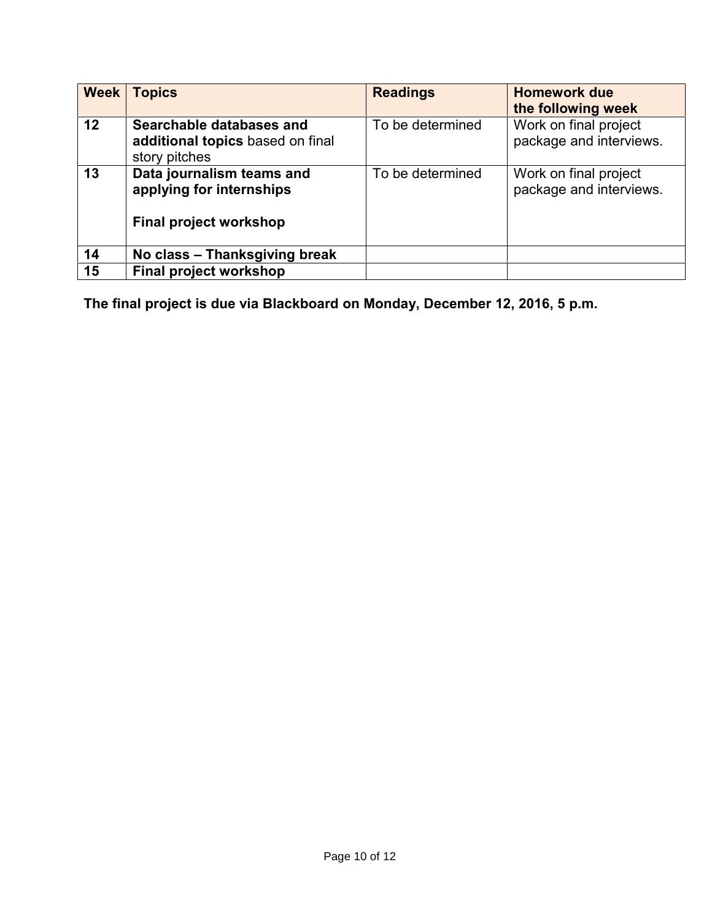| Week | <b>Topics</b>                                                                 | <b>Readings</b>  | <b>Homework due</b><br>the following week        |
|------|-------------------------------------------------------------------------------|------------------|--------------------------------------------------|
| 12   | Searchable databases and<br>additional topics based on final<br>story pitches | To be determined | Work on final project<br>package and interviews. |
| 13   | Data journalism teams and<br>applying for internships                         | To be determined | Work on final project<br>package and interviews. |
|      | Final project workshop                                                        |                  |                                                  |
| 14   | No class - Thanksgiving break                                                 |                  |                                                  |
| 15   | <b>Final project workshop</b>                                                 |                  |                                                  |

**The final project is due via Blackboard on Monday, December 12, 2016, 5 p.m.**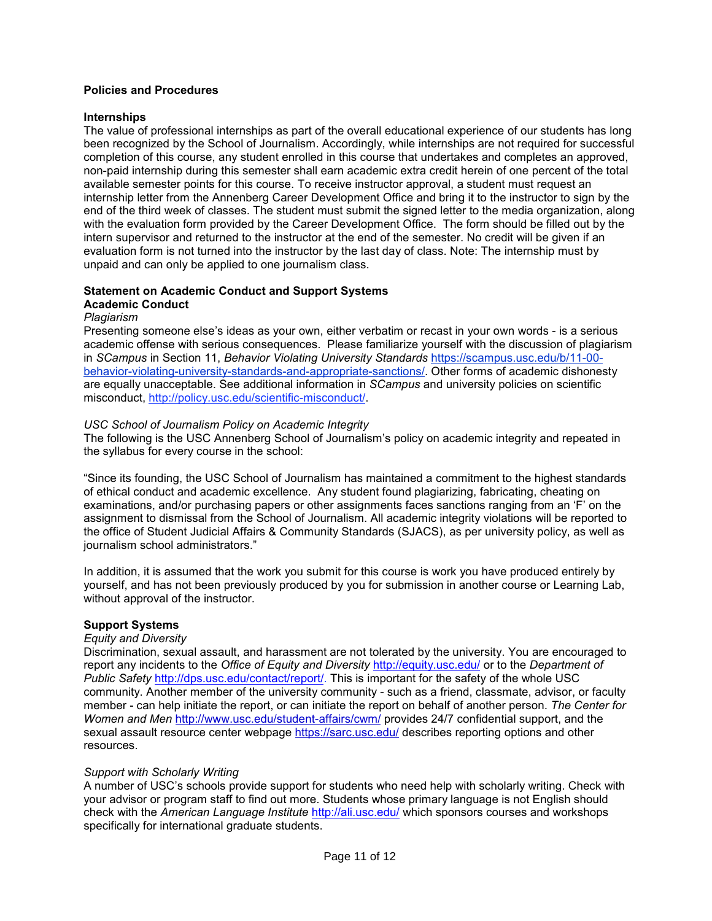#### **Policies and Procedures**

#### **Internships**

The value of professional internships as part of the overall educational experience of our students has long been recognized by the School of Journalism. Accordingly, while internships are not required for successful completion of this course, any student enrolled in this course that undertakes and completes an approved, non-paid internship during this semester shall earn academic extra credit herein of one percent of the total available semester points for this course. To receive instructor approval, a student must request an internship letter from the Annenberg Career Development Office and bring it to the instructor to sign by the end of the third week of classes. The student must submit the signed letter to the media organization, along with the evaluation form provided by the Career Development Office. The form should be filled out by the intern supervisor and returned to the instructor at the end of the semester. No credit will be given if an evaluation form is not turned into the instructor by the last day of class. Note: The internship must by unpaid and can only be applied to one journalism class.

# **Statement on Academic Conduct and Support Systems**

# **Academic Conduct**

#### *Plagiarism*

Presenting someone else's ideas as your own, either verbatim or recast in your own words - is a serious academic offense with serious consequences. Please familiarize yourself with the discussion of plagiarism in *SCampus* in Section 11, *Behavior Violating University Standards* https://scampus.usc.edu/b/11-00 behavior-violating-university-standards-and-appropriate-sanctions/. Other forms of academic dishonesty are equally unacceptable. See additional information in *SCampus* and university policies on scientific misconduct, http://policy.usc.edu/scientific-misconduct/.

#### *USC School of Journalism Policy on Academic Integrity*

The following is the USC Annenberg School of Journalism's policy on academic integrity and repeated in the syllabus for every course in the school:

"Since its founding, the USC School of Journalism has maintained a commitment to the highest standards of ethical conduct and academic excellence. Any student found plagiarizing, fabricating, cheating on examinations, and/or purchasing papers or other assignments faces sanctions ranging from an 'F' on the assignment to dismissal from the School of Journalism. All academic integrity violations will be reported to the office of Student Judicial Affairs & Community Standards (SJACS), as per university policy, as wellas journalism school administrators."

In addition, it is assumed that the work you submit for this course is work you have produced entirely by yourself, and has not been previously produced by you for submission in another course or Learning Lab, without approval of the instructor.

#### **Support Systems**

#### *Equity and Diversity*

Discrimination, sexual assault, and harassment are not tolerated by the university. You are encouraged to report any incidents to the *Office of Equity and Diversity* http://equity.usc.edu/ or to the *Department of Public Safety* http://dps.usc.edu/contact/report/. This is important for the safety of the whole USC community. Another member of the university community - such as a friend, classmate, advisor, or faculty member - can help initiate the report, or can initiate the report on behalf of another person. *The Center for Women and Men* http://www.usc.edu/student-affairs/cwm/ provides 24/7 confidential support, and the sexual assault resource center webpage https://sarc.usc.edu/ describes reporting options and other resources.

#### *Support with Scholarly Writing*

A number of USC's schools provide support for students who need help with scholarly writing. Check with your advisor or program staff to find out more. Students whose primary language is not English should check with the *American Language Institute* http://ali.usc.edu/ which sponsors courses and workshops specifically for international graduate students.